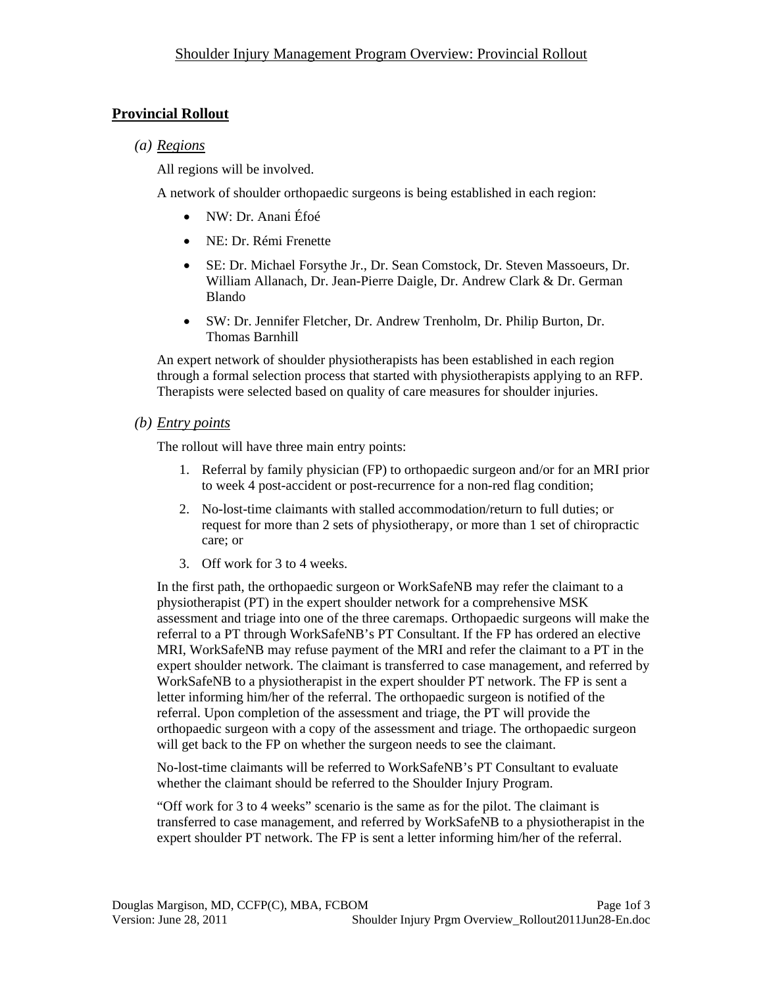# **Provincial Rollout**

## *(a) Regions*

All regions will be involved.

A network of shoulder orthopaedic surgeons is being established in each region:

- NW: Dr. Anani Éfoé
- NE: Dr. Rémi Frenette
- SE: Dr. Michael Forsythe Jr., Dr. Sean Comstock, Dr. Steven Massoeurs, Dr. William Allanach, Dr. Jean-Pierre Daigle, Dr. Andrew Clark & Dr. German Blando
- SW: Dr. Jennifer Fletcher, Dr. Andrew Trenholm, Dr. Philip Burton, Dr. Thomas Barnhill

An expert network of shoulder physiotherapists has been established in each region through a formal selection process that started with physiotherapists applying to an RFP. Therapists were selected based on quality of care measures for shoulder injuries.

### *(b) Entry points*

The rollout will have three main entry points:

- 1. Referral by family physician (FP) to orthopaedic surgeon and/or for an MRI prior to week 4 post-accident or post-recurrence for a non-red flag condition;
- 2. No-lost-time claimants with stalled accommodation/return to full duties; or request for more than 2 sets of physiotherapy, or more than 1 set of chiropractic care; or
- 3. Off work for 3 to 4 weeks.

In the first path, the orthopaedic surgeon or WorkSafeNB may refer the claimant to a physiotherapist (PT) in the expert shoulder network for a comprehensive MSK assessment and triage into one of the three caremaps. Orthopaedic surgeons will make the referral to a PT through WorkSafeNB's PT Consultant. If the FP has ordered an elective MRI, WorkSafeNB may refuse payment of the MRI and refer the claimant to a PT in the expert shoulder network. The claimant is transferred to case management, and referred by WorkSafeNB to a physiotherapist in the expert shoulder PT network. The FP is sent a letter informing him/her of the referral. The orthopaedic surgeon is notified of the referral. Upon completion of the assessment and triage, the PT will provide the orthopaedic surgeon with a copy of the assessment and triage. The orthopaedic surgeon will get back to the FP on whether the surgeon needs to see the claimant.

No-lost-time claimants will be referred to WorkSafeNB's PT Consultant to evaluate whether the claimant should be referred to the Shoulder Injury Program.

"Off work for 3 to 4 weeks" scenario is the same as for the pilot. The claimant is transferred to case management, and referred by WorkSafeNB to a physiotherapist in the expert shoulder PT network. The FP is sent a letter informing him/her of the referral.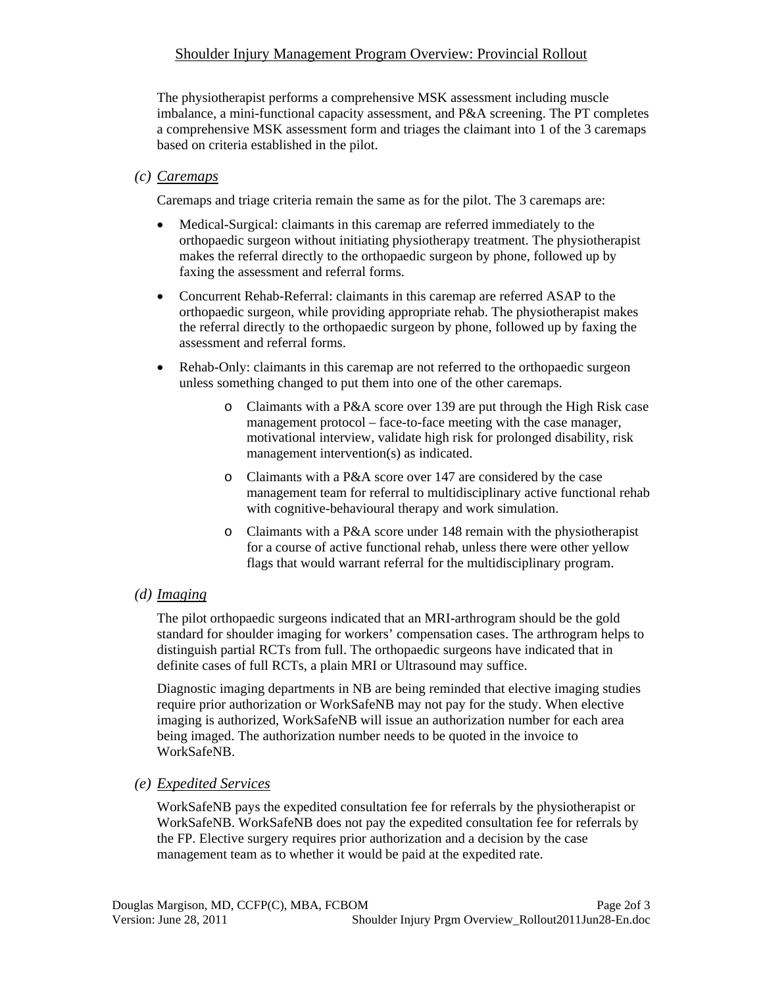### Shoulder Injury Management Program Overview: Provincial Rollout

The physiotherapist performs a comprehensive MSK assessment including muscle imbalance, a mini-functional capacity assessment, and P&A screening. The PT completes a comprehensive MSK assessment form and triages the claimant into 1 of the 3 caremaps based on criteria established in the pilot.

#### *(c) Caremaps*

Caremaps and triage criteria remain the same as for the pilot. The 3 caremaps are:

- Medical-Surgical: claimants in this caremap are referred immediately to the orthopaedic surgeon without initiating physiotherapy treatment. The physiotherapist makes the referral directly to the orthopaedic surgeon by phone, followed up by faxing the assessment and referral forms.
- Concurrent Rehab-Referral: claimants in this caremap are referred ASAP to the orthopaedic surgeon, while providing appropriate rehab. The physiotherapist makes the referral directly to the orthopaedic surgeon by phone, followed up by faxing the assessment and referral forms.
- Rehab-Only: claimants in this caremap are not referred to the orthopaedic surgeon unless something changed to put them into one of the other caremaps.
	- o Claimants with a P&A score over 139 are put through the High Risk case management protocol – face-to-face meeting with the case manager, motivational interview, validate high risk for prolonged disability, risk management intervention(s) as indicated.
	- o Claimants with a P&A score over 147 are considered by the case management team for referral to multidisciplinary active functional rehab with cognitive-behavioural therapy and work simulation.
	- o Claimants with a P&A score under 148 remain with the physiotherapist for a course of active functional rehab, unless there were other yellow flags that would warrant referral for the multidisciplinary program.

#### *(d) Imaging*

The pilot orthopaedic surgeons indicated that an MRI-arthrogram should be the gold standard for shoulder imaging for workers' compensation cases. The arthrogram helps to distinguish partial RCTs from full. The orthopaedic surgeons have indicated that in definite cases of full RCTs, a plain MRI or Ultrasound may suffice.

Diagnostic imaging departments in NB are being reminded that elective imaging studies require prior authorization or WorkSafeNB may not pay for the study. When elective imaging is authorized, WorkSafeNB will issue an authorization number for each area being imaged. The authorization number needs to be quoted in the invoice to WorkSafeNB.

#### *(e) Expedited Services*

WorkSafeNB pays the expedited consultation fee for referrals by the physiotherapist or WorkSafeNB. WorkSafeNB does not pay the expedited consultation fee for referrals by the FP. Elective surgery requires prior authorization and a decision by the case management team as to whether it would be paid at the expedited rate.